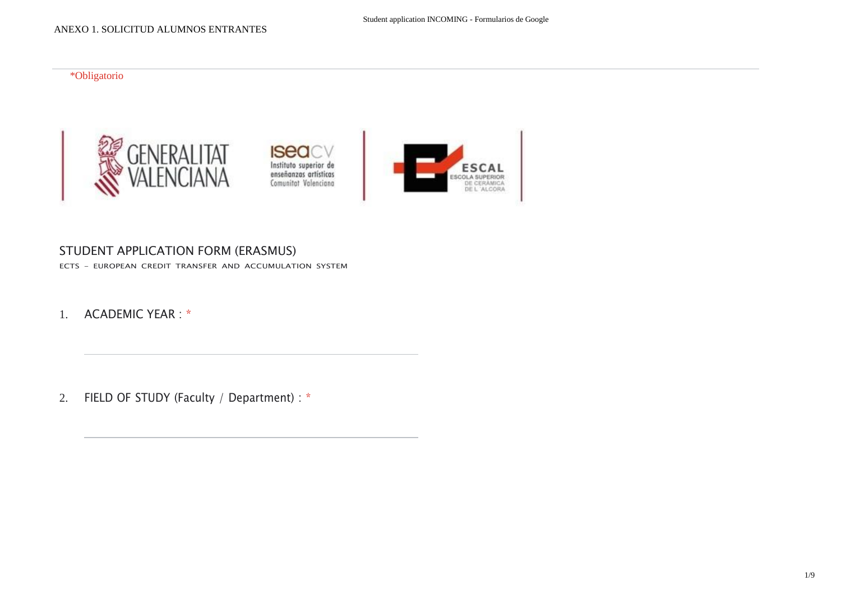#### \*Obligatorio







#### STUDENT APPLICATION FORM (ERASMUS)

ECTS - EUROPEAN CREDIT TRANSFER AND ACCUMULATION SYSTEM

1. ACADEMIC YEAR : \*

2. FIELD OF STUDY (Faculty / Department) : \*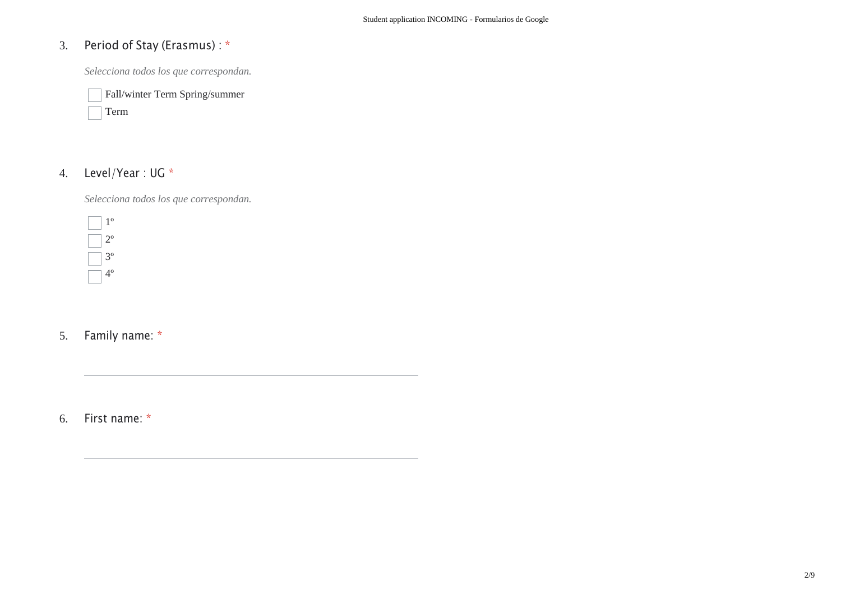# 3. Period of Stay (Erasmus) : \*

*Selecciona todos los que correspondan.*

Fall/winter Term Spring/summer

# Term

## 4. Level/Year : UG \*

*Selecciona todos los que correspondan.*

1º 2º 3º  $\overline{4}^{\circ}$ 

5. Family name: \*

6. First name: \*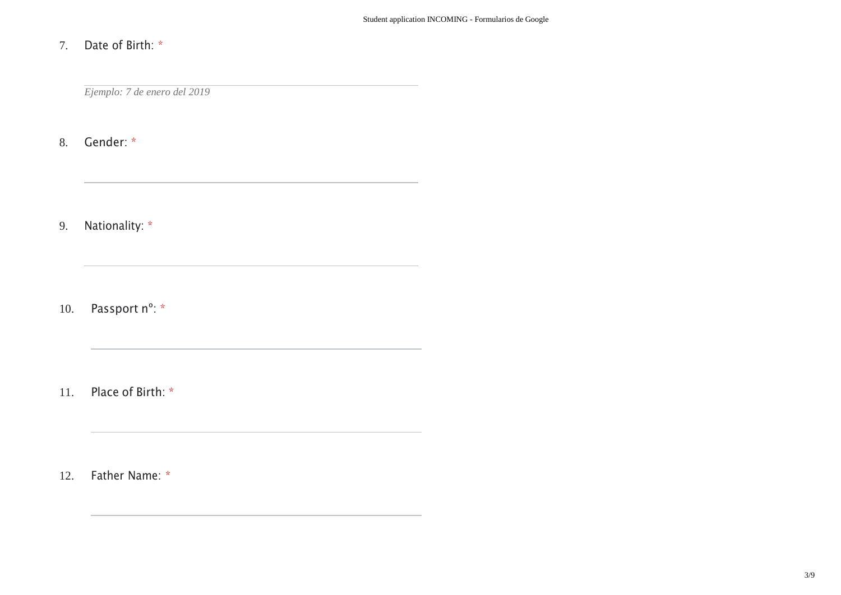#### 7. Date of Birth: \*

*Ejemplo: 7 de enero del 2019*

the contract of the contract of the contract of the contract of the contract of

the control of the control of the control of the control of the control of

8. Gender: \*

9. Nationality: \*

10. Passport n°: \*

11. Place of Birth: \*

12. Father Name: \*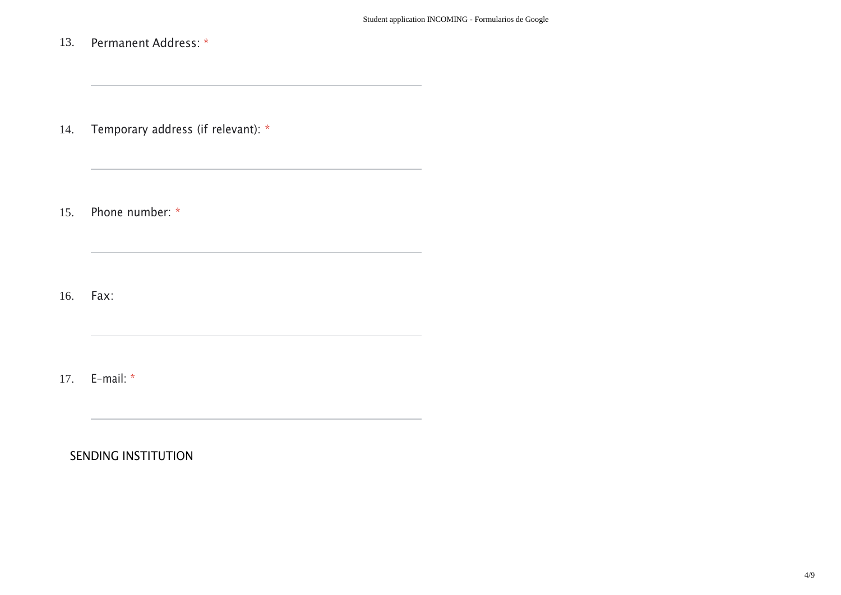13. Permanent Address: \*

14. Temporary address (if relevant): \*

<u> 1989 - Johann Stein, mars an deutscher Stein und der Stein und der Stein und der Stein und der Stein und der</u>

15. Phone number: \*

16. Fax:

17. E-mail: \*

SENDING INSTITUTION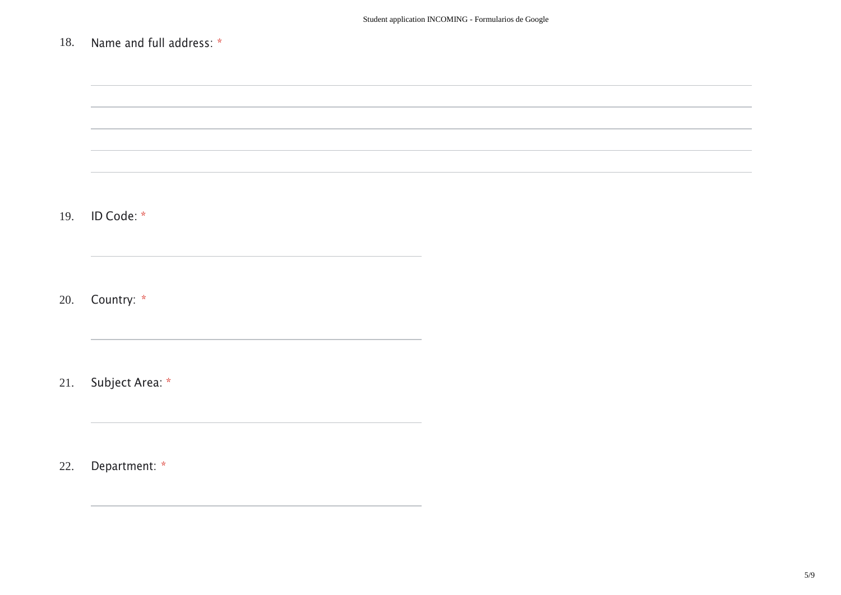## 18. Name and full address: \*

,我们也不会有什么。""我们的人,我们也不会有什么?""我们的人,我们也不会有什么?""我们的人,我们也不会有什么?""我们的人,我们也不会有什么?""我们的人 19. ID Code: \* 20. Country: \* 21. Subject Area: \* 22. Department: \*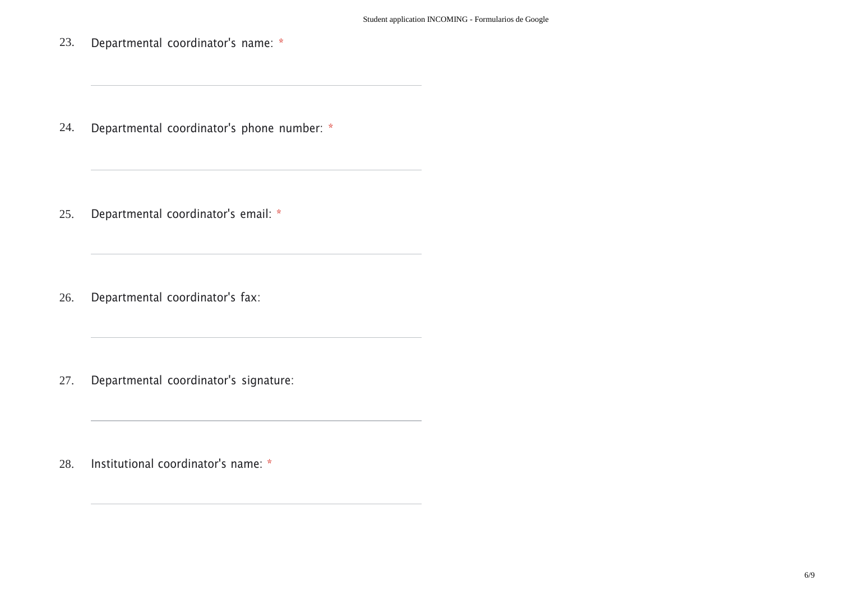23. Departmental coordinator's name: \*

24. Departmental coordinator's phone number: \*

the control of the control of the control of the control of the control of

25. Departmental coordinator's email: \*

26. Departmental coordinator's fax:

27. Departmental coordinator's signature:

28. Institutional coordinator's name: \*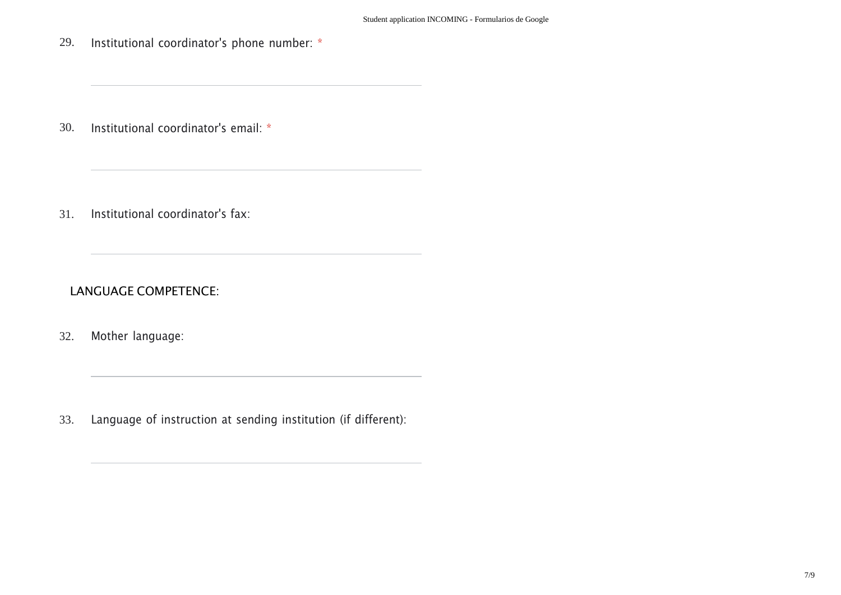29. Institutional coordinator's phone number: \*

30. Institutional coordinator's email: \*

31. Institutional coordinator's fax:

LANGUAGE COMPETENCE:

32. Mother language:

33. Language of instruction at sending institution (if different):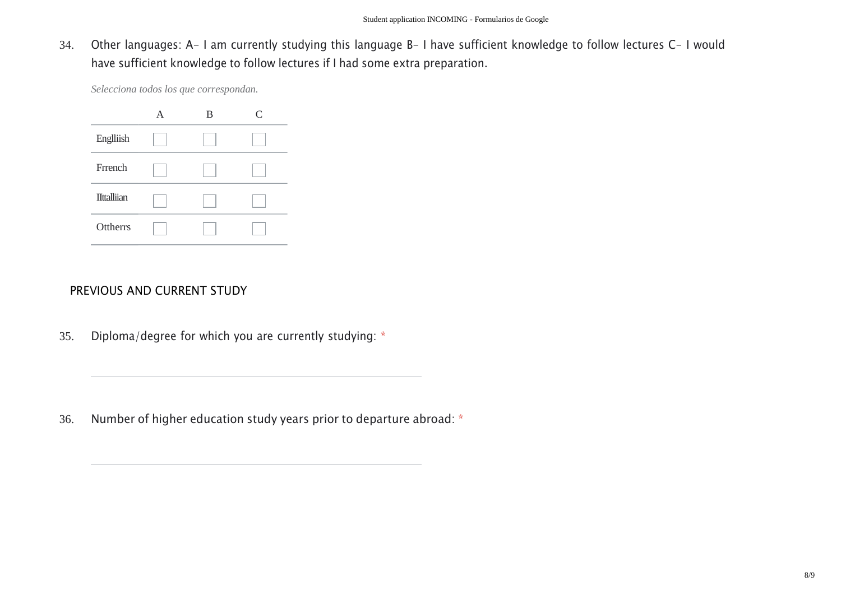34. Other languages: A- I am currently studying this language B- I have sufficient knowledge to follow lectures C- I would have sufficient knowledge to follow lectures if I had some extra preparation.

*Selecciona todos los que correspondan.*



#### PREVIOUS AND CURRENT STUDY

35. Diploma/degree for which you are currently studying: \*

36. Number of higher education study years prior to departure abroad: \*